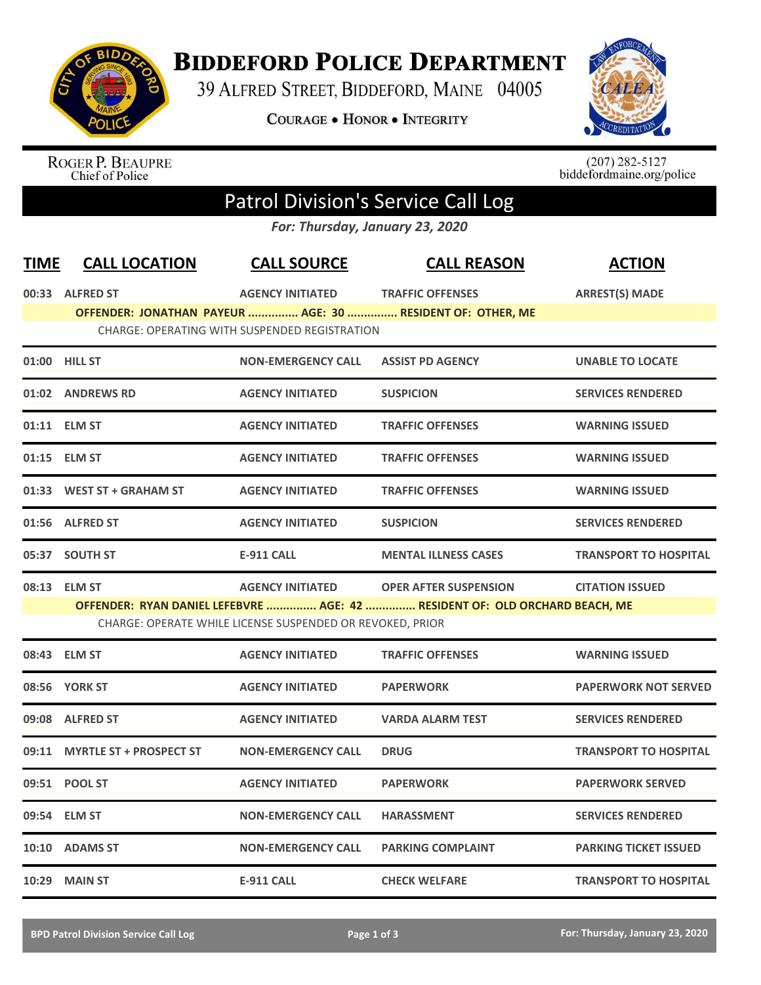

## **BIDDEFORD POLICE DEPARTMENT**

39 ALFRED STREET, BIDDEFORD, MAINE 04005

**COURAGE . HONOR . INTEGRITY** 



ROGER P. BEAUPRE<br>Chief of Police

 $(207)$  282-5127<br>biddefordmaine.org/police

## Patrol Division's Service Call Log

*For: Thursday, January 23, 2020*

| <b>TIME</b> | <b>CALL LOCATION</b>           | <b>CALL SOURCE</b>                                        | <b>CALL REASON</b>                                                          | <b>ACTION</b>                |
|-------------|--------------------------------|-----------------------------------------------------------|-----------------------------------------------------------------------------|------------------------------|
|             | 00:33 ALFRED ST                | <b>AGENCY INITIATED</b>                                   | <b>TRAFFIC OFFENSES</b>                                                     | <b>ARREST(S) MADE</b>        |
|             |                                | CHARGE: OPERATING WITH SUSPENDED REGISTRATION             | OFFENDER: JONATHAN PAYEUR  AGE: 30  RESIDENT OF: OTHER, ME                  |                              |
|             | 01:00 HILL ST                  | <b>NON-EMERGENCY CALL</b>                                 | <b>ASSIST PD AGENCY</b>                                                     | <b>UNABLE TO LOCATE</b>      |
|             | 01:02 ANDREWS RD               | <b>AGENCY INITIATED</b>                                   | <b>SUSPICION</b>                                                            | <b>SERVICES RENDERED</b>     |
|             | 01:11 ELM ST                   | <b>AGENCY INITIATED</b>                                   | <b>TRAFFIC OFFENSES</b>                                                     | <b>WARNING ISSUED</b>        |
|             | 01:15 ELM ST                   | <b>AGENCY INITIATED</b>                                   | <b>TRAFFIC OFFENSES</b>                                                     | <b>WARNING ISSUED</b>        |
|             | 01:33 WEST ST + GRAHAM ST      | <b>AGENCY INITIATED</b>                                   | <b>TRAFFIC OFFENSES</b>                                                     | <b>WARNING ISSUED</b>        |
|             | 01:56 ALFRED ST                | <b>AGENCY INITIATED</b>                                   | <b>SUSPICION</b>                                                            | <b>SERVICES RENDERED</b>     |
|             | 05:37 SOUTH ST                 | <b>E-911 CALL</b>                                         | <b>MENTAL ILLNESS CASES</b>                                                 | <b>TRANSPORT TO HOSPITAL</b> |
|             | 08:13 ELM ST                   | <b>AGENCY INITIATED</b>                                   | <b>OPER AFTER SUSPENSION</b>                                                | <b>CITATION ISSUED</b>       |
|             |                                | CHARGE: OPERATE WHILE LICENSE SUSPENDED OR REVOKED, PRIOR | OFFENDER: RYAN DANIEL LEFEBVRE  AGE: 42  RESIDENT OF: OLD ORCHARD BEACH, ME |                              |
|             | 08:43 ELM ST                   | <b>AGENCY INITIATED</b>                                   | <b>TRAFFIC OFFENSES</b>                                                     | <b>WARNING ISSUED</b>        |
|             | 08:56 YORK ST                  | <b>AGENCY INITIATED</b>                                   | <b>PAPERWORK</b>                                                            | <b>PAPERWORK NOT SERVED</b>  |
|             | 09:08 ALFRED ST                | <b>AGENCY INITIATED</b>                                   | <b>VARDA ALARM TEST</b>                                                     | <b>SERVICES RENDERED</b>     |
| 09:11       | <b>MYRTLE ST + PROSPECT ST</b> | <b>NON-EMERGENCY CALL</b>                                 | <b>DRUG</b>                                                                 | <b>TRANSPORT TO HOSPITAL</b> |
|             | 09:51 POOL ST                  | <b>AGENCY INITIATED</b>                                   | <b>PAPERWORK</b>                                                            | <b>PAPERWORK SERVED</b>      |
|             | 09:54 ELM ST                   | <b>NON-EMERGENCY CALL</b>                                 | <b>HARASSMENT</b>                                                           | <b>SERVICES RENDERED</b>     |
|             | 10:10 ADAMS ST                 | <b>NON-EMERGENCY CALL</b>                                 | <b>PARKING COMPLAINT</b>                                                    | <b>PARKING TICKET ISSUED</b> |
|             | 10:29 MAIN ST                  | <b>E-911 CALL</b>                                         | <b>CHECK WELFARE</b>                                                        | <b>TRANSPORT TO HOSPITAL</b> |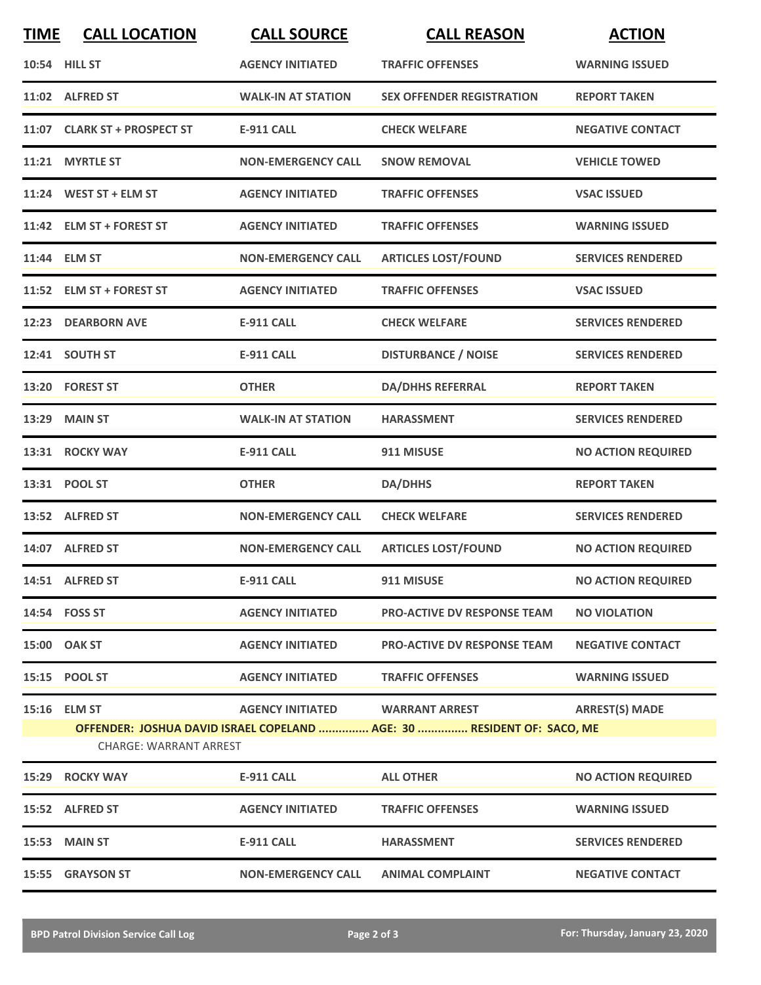| <b>TIME</b> | <b>CALL LOCATION</b>         | <b>CALL SOURCE</b>        | <b>CALL REASON</b>                                                                              | <b>ACTION</b>             |
|-------------|------------------------------|---------------------------|-------------------------------------------------------------------------------------------------|---------------------------|
|             | 10:54 HILL ST                | <b>AGENCY INITIATED</b>   | <b>TRAFFIC OFFENSES</b>                                                                         | <b>WARNING ISSUED</b>     |
|             | 11:02 ALFRED ST              | <b>WALK-IN AT STATION</b> | <b>SEX OFFENDER REGISTRATION</b>                                                                | <b>REPORT TAKEN</b>       |
|             | 11:07 CLARK ST + PROSPECT ST | <b>E-911 CALL</b>         | <b>CHECK WELFARE</b>                                                                            | <b>NEGATIVE CONTACT</b>   |
|             | 11:21 MYRTLE ST              | <b>NON-EMERGENCY CALL</b> | <b>SNOW REMOVAL</b>                                                                             | <b>VEHICLE TOWED</b>      |
|             | 11:24 WEST ST + ELM ST       | <b>AGENCY INITIATED</b>   | <b>TRAFFIC OFFENSES</b>                                                                         | <b>VSAC ISSUED</b>        |
|             | 11:42 ELM ST + FOREST ST     | <b>AGENCY INITIATED</b>   | <b>TRAFFIC OFFENSES</b>                                                                         | <b>WARNING ISSUED</b>     |
|             | 11:44 ELM ST                 | <b>NON-EMERGENCY CALL</b> | <b>ARTICLES LOST/FOUND</b>                                                                      | <b>SERVICES RENDERED</b>  |
|             | 11:52 ELM ST + FOREST ST     | <b>AGENCY INITIATED</b>   | <b>TRAFFIC OFFENSES</b>                                                                         | <b>VSAC ISSUED</b>        |
| 12:23       | <b>DEARBORN AVE</b>          | <b>E-911 CALL</b>         | <b>CHECK WELFARE</b>                                                                            | <b>SERVICES RENDERED</b>  |
|             | 12:41 SOUTH ST               | <b>E-911 CALL</b>         | <b>DISTURBANCE / NOISE</b>                                                                      | <b>SERVICES RENDERED</b>  |
|             | 13:20 FOREST ST              | <b>OTHER</b>              | <b>DA/DHHS REFERRAL</b>                                                                         | <b>REPORT TAKEN</b>       |
|             | 13:29 MAIN ST                | <b>WALK-IN AT STATION</b> | <b>HARASSMENT</b>                                                                               | <b>SERVICES RENDERED</b>  |
|             | 13:31 ROCKY WAY              | <b>E-911 CALL</b>         | 911 MISUSE                                                                                      | <b>NO ACTION REQUIRED</b> |
|             | 13:31 POOL ST                | <b>OTHER</b>              | <b>DA/DHHS</b>                                                                                  | <b>REPORT TAKEN</b>       |
|             | 13:52 ALFRED ST              | <b>NON-EMERGENCY CALL</b> | <b>CHECK WELFARE</b>                                                                            | <b>SERVICES RENDERED</b>  |
|             | 14:07 ALFRED ST              | <b>NON-EMERGENCY CALL</b> | <b>ARTICLES LOST/FOUND</b>                                                                      | <b>NO ACTION REQUIRED</b> |
|             | 14:51 ALFRED ST              | <b>E-911 CALL</b>         | 911 MISUSE                                                                                      | <b>NO ACTION REQUIRED</b> |
|             | 14:54 FOSS ST                | <b>AGENCY INITIATED</b>   | <b>PRO-ACTIVE DV RESPONSE TEAM</b>                                                              | <b>NO VIOLATION</b>       |
|             | 15:00 OAK ST                 | <b>AGENCY INITIATED</b>   | <b>PRO-ACTIVE DV RESPONSE TEAM</b>                                                              | <b>NEGATIVE CONTACT</b>   |
|             | 15:15 POOL ST                | <b>AGENCY INITIATED</b>   | <b>TRAFFIC OFFENSES</b>                                                                         | <b>WARNING ISSUED</b>     |
|             | 15:16 ELM ST                 | <b>AGENCY INITIATED</b>   | <b>WARRANT ARREST</b><br>OFFENDER: JOSHUA DAVID ISRAEL COPELAND  AGE: 30  RESIDENT OF: SACO, ME | <b>ARREST(S) MADE</b>     |
|             | CHARGE: WARRANT ARREST       |                           |                                                                                                 |                           |
|             | 15:29 ROCKY WAY              | <b>E-911 CALL</b>         | <b>ALL OTHER</b>                                                                                | <b>NO ACTION REQUIRED</b> |
|             | 15:52 ALFRED ST              | <b>AGENCY INITIATED</b>   | <b>TRAFFIC OFFENSES</b>                                                                         | <b>WARNING ISSUED</b>     |
|             | <b>15:53 MAIN ST</b>         | <b>E-911 CALL</b>         | <b>HARASSMENT</b>                                                                               | <b>SERVICES RENDERED</b>  |
|             | 15:55 GRAYSON ST             | <b>NON-EMERGENCY CALL</b> | <b>ANIMAL COMPLAINT</b>                                                                         | <b>NEGATIVE CONTACT</b>   |